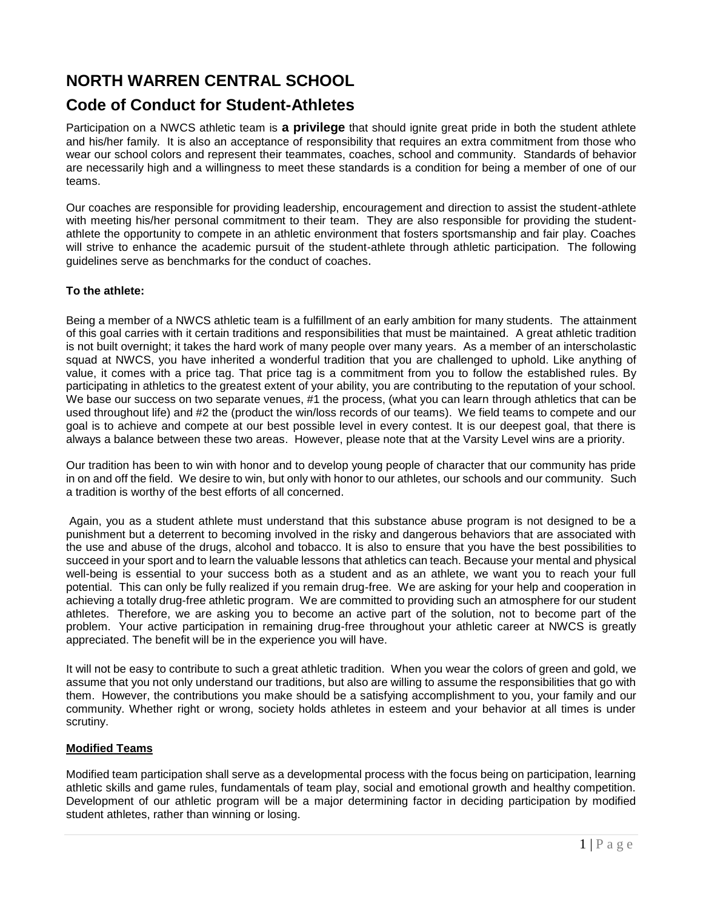# **NORTH WARREN CENTRAL SCHOOL**

# **Code of Conduct for Student-Athletes**

Participation on a NWCS athletic team is **a privilege** that should ignite great pride in both the student athlete and his/her family. It is also an acceptance of responsibility that requires an extra commitment from those who wear our school colors and represent their teammates, coaches, school and community. Standards of behavior are necessarily high and a willingness to meet these standards is a condition for being a member of one of our teams.

Our coaches are responsible for providing leadership, encouragement and direction to assist the student-athlete with meeting his/her personal commitment to their team. They are also responsible for providing the studentathlete the opportunity to compete in an athletic environment that fosters sportsmanship and fair play. Coaches will strive to enhance the academic pursuit of the student-athlete through athletic participation. The following guidelines serve as benchmarks for the conduct of coaches.

### **To the athlete:**

Being a member of a NWCS athletic team is a fulfillment of an early ambition for many students. The attainment of this goal carries with it certain traditions and responsibilities that must be maintained. A great athletic tradition is not built overnight; it takes the hard work of many people over many years. As a member of an interscholastic squad at NWCS, you have inherited a wonderful tradition that you are challenged to uphold. Like anything of value, it comes with a price tag. That price tag is a commitment from you to follow the established rules. By participating in athletics to the greatest extent of your ability, you are contributing to the reputation of your school. We base our success on two separate venues, #1 the process, (what you can learn through athletics that can be used throughout life) and #2 the (product the win/loss records of our teams). We field teams to compete and our goal is to achieve and compete at our best possible level in every contest. It is our deepest goal, that there is always a balance between these two areas. However, please note that at the Varsity Level wins are a priority.

Our tradition has been to win with honor and to develop young people of character that our community has pride in on and off the field. We desire to win, but only with honor to our athletes, our schools and our community. Such a tradition is worthy of the best efforts of all concerned.

Again, you as a student athlete must understand that this substance abuse program is not designed to be a punishment but a deterrent to becoming involved in the risky and dangerous behaviors that are associated with the use and abuse of the drugs, alcohol and tobacco. It is also to ensure that you have the best possibilities to succeed in your sport and to learn the valuable lessons that athletics can teach. Because your mental and physical well-being is essential to your success both as a student and as an athlete, we want you to reach your full potential. This can only be fully realized if you remain drug-free. We are asking for your help and cooperation in achieving a totally drug-free athletic program. We are committed to providing such an atmosphere for our student athletes. Therefore, we are asking you to become an active part of the solution, not to become part of the problem. Your active participation in remaining drug-free throughout your athletic career at NWCS is greatly appreciated. The benefit will be in the experience you will have.

It will not be easy to contribute to such a great athletic tradition. When you wear the colors of green and gold, we assume that you not only understand our traditions, but also are willing to assume the responsibilities that go with them. However, the contributions you make should be a satisfying accomplishment to you, your family and our community. Whether right or wrong, society holds athletes in esteem and your behavior at all times is under scrutiny.

### **Modified Teams**

Modified team participation shall serve as a developmental process with the focus being on participation, learning athletic skills and game rules, fundamentals of team play, social and emotional growth and healthy competition. Development of our athletic program will be a major determining factor in deciding participation by modified student athletes, rather than winning or losing.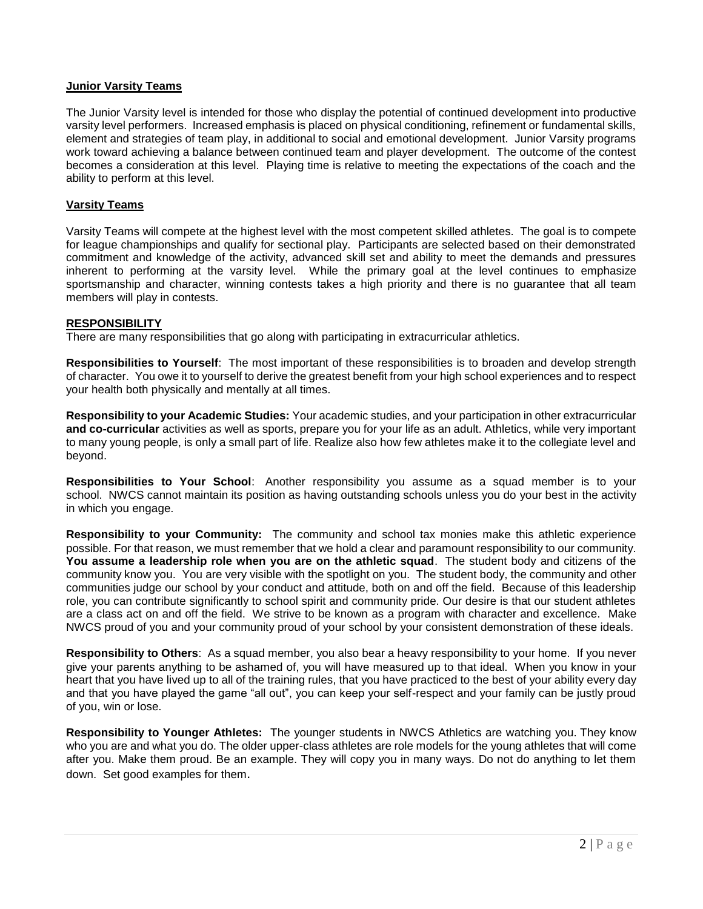#### **Junior Varsity Teams**

The Junior Varsity level is intended for those who display the potential of continued development into productive varsity level performers. Increased emphasis is placed on physical conditioning, refinement or fundamental skills, element and strategies of team play, in additional to social and emotional development. Junior Varsity programs work toward achieving a balance between continued team and player development. The outcome of the contest becomes a consideration at this level. Playing time is relative to meeting the expectations of the coach and the ability to perform at this level.

#### **Varsity Teams**

Varsity Teams will compete at the highest level with the most competent skilled athletes. The goal is to compete for league championships and qualify for sectional play. Participants are selected based on their demonstrated commitment and knowledge of the activity, advanced skill set and ability to meet the demands and pressures inherent to performing at the varsity level. While the primary goal at the level continues to emphasize sportsmanship and character, winning contests takes a high priority and there is no guarantee that all team members will play in contests.

#### **RESPONSIBILITY**

There are many responsibilities that go along with participating in extracurricular athletics.

**Responsibilities to Yourself**: The most important of these responsibilities is to broaden and develop strength of character. You owe it to yourself to derive the greatest benefit from your high school experiences and to respect your health both physically and mentally at all times.

**Responsibility to your Academic Studies:** Your academic studies, and your participation in other extracurricular **and co-curricular** activities as well as sports, prepare you for your life as an adult. Athletics, while very important to many young people, is only a small part of life. Realize also how few athletes make it to the collegiate level and beyond.

**Responsibilities to Your School**: Another responsibility you assume as a squad member is to your school. NWCS cannot maintain its position as having outstanding schools unless you do your best in the activity in which you engage.

**Responsibility to your Community:** The community and school tax monies make this athletic experience possible. For that reason, we must remember that we hold a clear and paramount responsibility to our community. **You assume a leadership role when you are on the athletic squad**. The student body and citizens of the community know you. You are very visible with the spotlight on you. The student body, the community and other communities judge our school by your conduct and attitude, both on and off the field. Because of this leadership role, you can contribute significantly to school spirit and community pride. Our desire is that our student athletes are a class act on and off the field. We strive to be known as a program with character and excellence. Make NWCS proud of you and your community proud of your school by your consistent demonstration of these ideals.

**Responsibility to Others**: As a squad member, you also bear a heavy responsibility to your home. If you never give your parents anything to be ashamed of, you will have measured up to that ideal. When you know in your heart that you have lived up to all of the training rules, that you have practiced to the best of your ability every day and that you have played the game "all out", you can keep your self-respect and your family can be justly proud of you, win or lose.

**Responsibility to Younger Athletes:** The younger students in NWCS Athletics are watching you. They know who you are and what you do. The older upper-class athletes are role models for the young athletes that will come after you. Make them proud. Be an example. They will copy you in many ways. Do not do anything to let them down. Set good examples for them.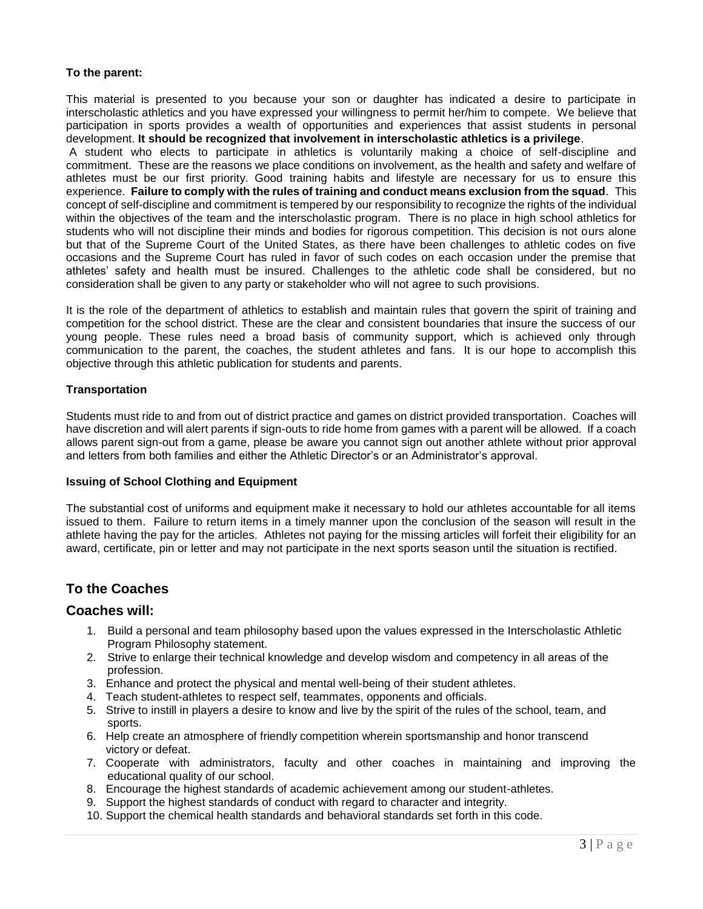### **To the parent:**

This material is presented to you because your son or daughter has indicated a desire to participate in interscholastic athletics and you have expressed your willingness to permit her/him to compete. We believe that participation in sports provides a wealth of opportunities and experiences that assist students in personal development. **It should be recognized that involvement in interscholastic athletics is a privilege**.

A student who elects to participate in athletics is voluntarily making a choice of self-discipline and commitment. These are the reasons we place conditions on involvement, as the health and safety and welfare of athletes must be our first priority. Good training habits and lifestyle are necessary for us to ensure this experience. **Failure to comply with the rules of training and conduct means exclusion from the squad**. This concept of self-discipline and commitment is tempered by our responsibility to recognize the rights of the individual within the objectives of the team and the interscholastic program. There is no place in high school athletics for students who will not discipline their minds and bodies for rigorous competition. This decision is not ours alone but that of the Supreme Court of the United States, as there have been challenges to athletic codes on five occasions and the Supreme Court has ruled in favor of such codes on each occasion under the premise that athletes' safety and health must be insured. Challenges to the athletic code shall be considered, but no consideration shall be given to any party or stakeholder who will not agree to such provisions.

It is the role of the department of athletics to establish and maintain rules that govern the spirit of training and competition for the school district. These are the clear and consistent boundaries that insure the success of our young people. These rules need a broad basis of community support, which is achieved only through communication to the parent, the coaches, the student athletes and fans. It is our hope to accomplish this objective through this athletic publication for students and parents.

### **Transportation**

Students must ride to and from out of district practice and games on district provided transportation. Coaches will have discretion and will alert parents if sign-outs to ride home from games with a parent will be allowed. If a coach allows parent sign-out from a game, please be aware you cannot sign out another athlete without prior approval and letters from both families and either the Athletic Director's or an Administrator's approval.

#### **Issuing of School Clothing and Equipment**

The substantial cost of uniforms and equipment make it necessary to hold our athletes accountable for all items issued to them. Failure to return items in a timely manner upon the conclusion of the season will result in the athlete having the pay for the articles. Athletes not paying for the missing articles will forfeit their eligibility for an award, certificate, pin or letter and may not participate in the next sports season until the situation is rectified.

## **To the Coaches**

### **Coaches will:**

- 1. Build a personal and team philosophy based upon the values expressed in the Interscholastic Athletic Program Philosophy statement.
- 2. Strive to enlarge their technical knowledge and develop wisdom and competency in all areas of the profession.
- 3. Enhance and protect the physical and mental well-being of their student athletes.
- 4. Teach student-athletes to respect self, teammates, opponents and officials.
- 5. Strive to instill in players a desire to know and live by the spirit of the rules of the school, team, and sports.
- 6. Help create an atmosphere of friendly competition wherein sportsmanship and honor transcend victory or defeat.
- 7. Cooperate with administrators, faculty and other coaches in maintaining and improving the educational quality of our school.
- 8. Encourage the highest standards of academic achievement among our student-athletes.
- 9. Support the highest standards of conduct with regard to character and integrity.
- 10. Support the chemical health standards and behavioral standards set forth in this code.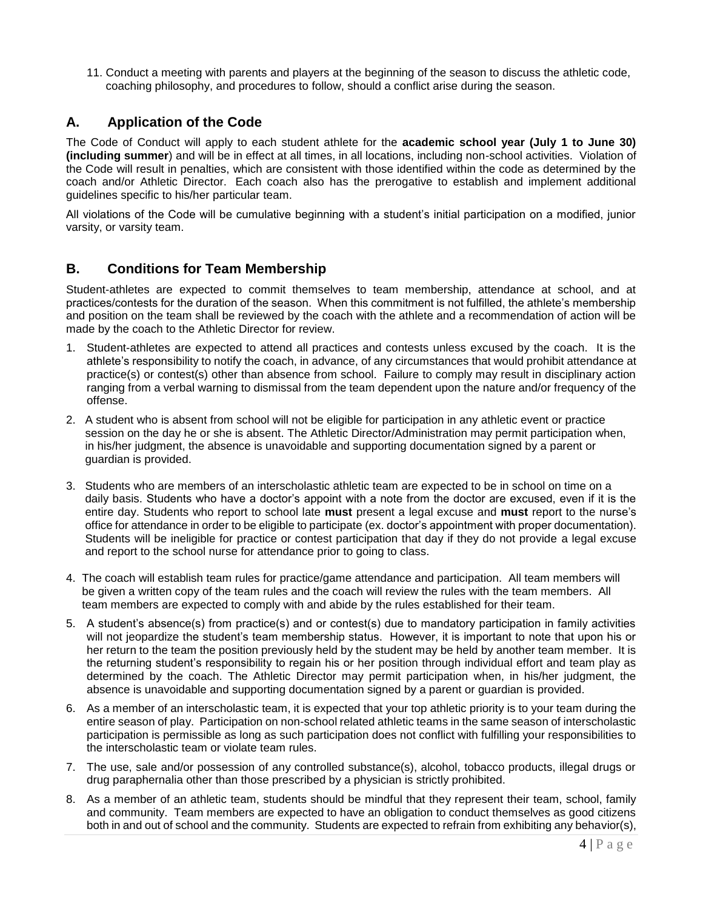11. Conduct a meeting with parents and players at the beginning of the season to discuss the athletic code, coaching philosophy, and procedures to follow, should a conflict arise during the season.

# **A. Application of the Code**

The Code of Conduct will apply to each student athlete for the **academic school year (July 1 to June 30) (including summer**) and will be in effect at all times, in all locations, including non-school activities. Violation of the Code will result in penalties, which are consistent with those identified within the code as determined by the coach and/or Athletic Director. Each coach also has the prerogative to establish and implement additional guidelines specific to his/her particular team.

All violations of the Code will be cumulative beginning with a student's initial participation on a modified, junior varsity, or varsity team.

## **B. Conditions for Team Membership**

Student-athletes are expected to commit themselves to team membership, attendance at school, and at practices/contests for the duration of the season. When this commitment is not fulfilled, the athlete's membership and position on the team shall be reviewed by the coach with the athlete and a recommendation of action will be made by the coach to the Athletic Director for review.

- 1. Student-athletes are expected to attend all practices and contests unless excused by the coach. It is the athlete's responsibility to notify the coach, in advance, of any circumstances that would prohibit attendance at practice(s) or contest(s) other than absence from school. Failure to comply may result in disciplinary action ranging from a verbal warning to dismissal from the team dependent upon the nature and/or frequency of the offense.
- 2. A student who is absent from school will not be eligible for participation in any athletic event or practice session on the day he or she is absent. The Athletic Director/Administration may permit participation when, in his/her judgment, the absence is unavoidable and supporting documentation signed by a parent or guardian is provided.
- 3. Students who are members of an interscholastic athletic team are expected to be in school on time on a daily basis. Students who have a doctor's appoint with a note from the doctor are excused, even if it is the entire day. Students who report to school late **must** present a legal excuse and **must** report to the nurse's office for attendance in order to be eligible to participate (ex. doctor's appointment with proper documentation). Students will be ineligible for practice or contest participation that day if they do not provide a legal excuse and report to the school nurse for attendance prior to going to class.
- 4. The coach will establish team rules for practice/game attendance and participation. All team members will be given a written copy of the team rules and the coach will review the rules with the team members. All team members are expected to comply with and abide by the rules established for their team.
- 5. A student's absence(s) from practice(s) and or contest(s) due to mandatory participation in family activities will not jeopardize the student's team membership status. However, it is important to note that upon his or her return to the team the position previously held by the student may be held by another team member. It is the returning student's responsibility to regain his or her position through individual effort and team play as determined by the coach. The Athletic Director may permit participation when, in his/her judgment, the absence is unavoidable and supporting documentation signed by a parent or guardian is provided.
- 6. As a member of an interscholastic team, it is expected that your top athletic priority is to your team during the entire season of play. Participation on non-school related athletic teams in the same season of interscholastic participation is permissible as long as such participation does not conflict with fulfilling your responsibilities to the interscholastic team or violate team rules.
- 7. The use, sale and/or possession of any controlled substance(s), alcohol, tobacco products, illegal drugs or drug paraphernalia other than those prescribed by a physician is strictly prohibited.
- 8. As a member of an athletic team, students should be mindful that they represent their team, school, family and community. Team members are expected to have an obligation to conduct themselves as good citizens both in and out of school and the community. Students are expected to refrain from exhibiting any behavior(s),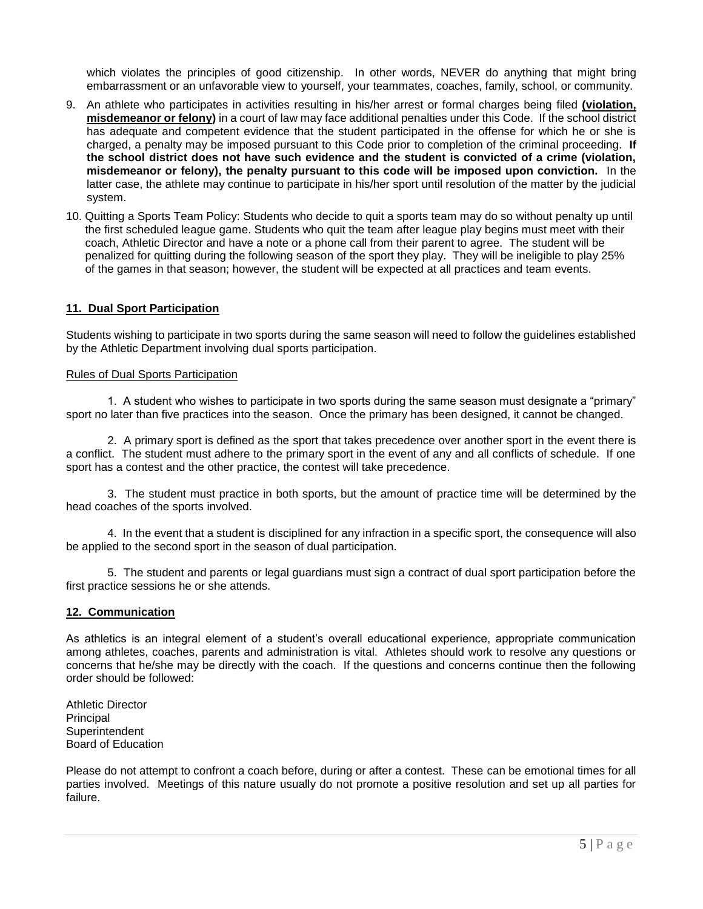which violates the principles of good citizenship. In other words, NEVER do anything that might bring embarrassment or an unfavorable view to yourself, your teammates, coaches, family, school, or community.

- 9. An athlete who participates in activities resulting in his/her arrest or formal charges being filed **(violation, misdemeanor or felony)** in a court of law may face additional penalties under this Code. If the school district has adequate and competent evidence that the student participated in the offense for which he or she is charged, a penalty may be imposed pursuant to this Code prior to completion of the criminal proceeding. **If the school district does not have such evidence and the student is convicted of a crime (violation, misdemeanor or felony), the penalty pursuant to this code will be imposed upon conviction.** In the latter case, the athlete may continue to participate in his/her sport until resolution of the matter by the judicial system.
- 10. Quitting a Sports Team Policy: Students who decide to quit a sports team may do so without penalty up until the first scheduled league game. Students who quit the team after league play begins must meet with their coach, Athletic Director and have a note or a phone call from their parent to agree. The student will be penalized for quitting during the following season of the sport they play. They will be ineligible to play 25% of the games in that season; however, the student will be expected at all practices and team events.

#### **11. Dual Sport Participation**

Students wishing to participate in two sports during the same season will need to follow the guidelines established by the Athletic Department involving dual sports participation.

#### Rules of Dual Sports Participation

1. A student who wishes to participate in two sports during the same season must designate a "primary" sport no later than five practices into the season. Once the primary has been designed, it cannot be changed.

2. A primary sport is defined as the sport that takes precedence over another sport in the event there is a conflict. The student must adhere to the primary sport in the event of any and all conflicts of schedule. If one sport has a contest and the other practice, the contest will take precedence.

3. The student must practice in both sports, but the amount of practice time will be determined by the head coaches of the sports involved.

4. In the event that a student is disciplined for any infraction in a specific sport, the consequence will also be applied to the second sport in the season of dual participation.

5. The student and parents or legal guardians must sign a contract of dual sport participation before the first practice sessions he or she attends.

#### **12. Communication**

As athletics is an integral element of a student's overall educational experience, appropriate communication among athletes, coaches, parents and administration is vital. Athletes should work to resolve any questions or concerns that he/she may be directly with the coach. If the questions and concerns continue then the following order should be followed:

Athletic Director Principal **Superintendent** Board of Education

Please do not attempt to confront a coach before, during or after a contest. These can be emotional times for all parties involved. Meetings of this nature usually do not promote a positive resolution and set up all parties for failure.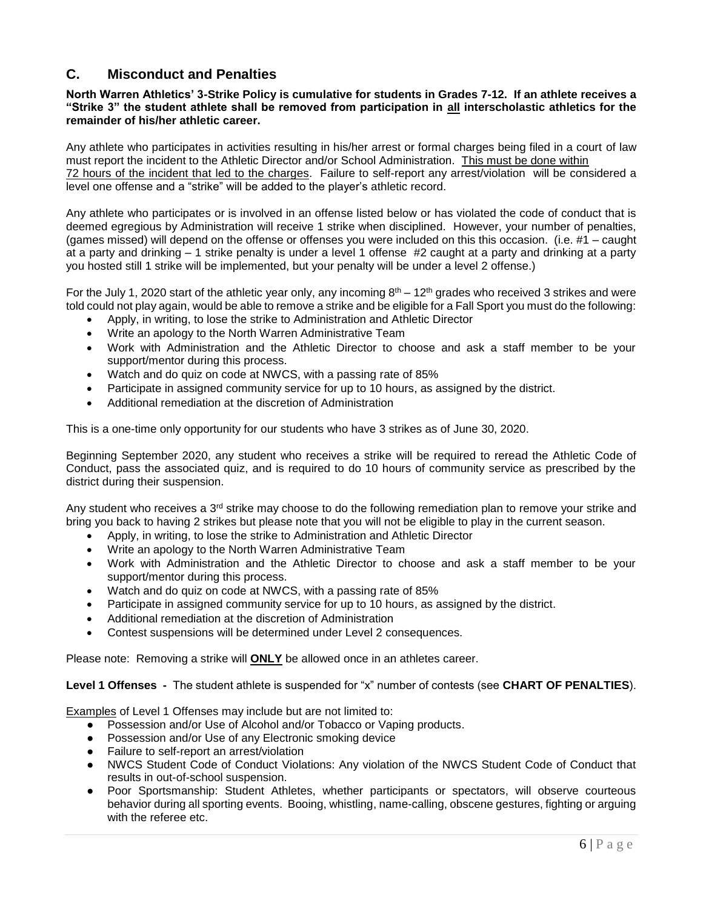# **C. Misconduct and Penalties**

#### **North Warren Athletics' 3-Strike Policy is cumulative for students in Grades 7-12. If an athlete receives a "Strike 3" the student athlete shall be removed from participation in all interscholastic athletics for the remainder of his/her athletic career.**

Any athlete who participates in activities resulting in his/her arrest or formal charges being filed in a court of law must report the incident to the Athletic Director and/or School Administration. This must be done within 72 hours of the incident that led to the charges. Failure to self-report any arrest/violation will be considered a level one offense and a "strike" will be added to the player's athletic record.

Any athlete who participates or is involved in an offense listed below or has violated the code of conduct that is deemed egregious by Administration will receive 1 strike when disciplined. However, your number of penalties, (games missed) will depend on the offense or offenses you were included on this this occasion. (i.e. #1 – caught at a party and drinking – 1 strike penalty is under a level 1 offense #2 caught at a party and drinking at a party you hosted still 1 strike will be implemented, but your penalty will be under a level 2 offense.)

For the July 1, 2020 start of the athletic year only, any incoming  $8<sup>th</sup> - 12<sup>th</sup>$  grades who received 3 strikes and were told could not play again, would be able to remove a strike and be eligible for a Fall Sport you must do the following:

- Apply, in writing, to lose the strike to Administration and Athletic Director
- Write an apology to the North Warren Administrative Team
- Work with Administration and the Athletic Director to choose and ask a staff member to be your support/mentor during this process.
- Watch and do quiz on code at NWCS, with a passing rate of 85%
- Participate in assigned community service for up to 10 hours, as assigned by the district.
- Additional remediation at the discretion of Administration

This is a one-time only opportunity for our students who have 3 strikes as of June 30, 2020.

Beginning September 2020, any student who receives a strike will be required to reread the Athletic Code of Conduct, pass the associated quiz, and is required to do 10 hours of community service as prescribed by the district during their suspension.

Any student who receives a  $3<sup>rd</sup>$  strike may choose to do the following remediation plan to remove your strike and bring you back to having 2 strikes but please note that you will not be eligible to play in the current season.

- Apply, in writing, to lose the strike to Administration and Athletic Director
- Write an apology to the North Warren Administrative Team
- Work with Administration and the Athletic Director to choose and ask a staff member to be your support/mentor during this process.
- Watch and do quiz on code at NWCS, with a passing rate of 85%
- Participate in assigned community service for up to 10 hours, as assigned by the district.
- Additional remediation at the discretion of Administration
- Contest suspensions will be determined under Level 2 consequences.

Please note: Removing a strike will **ONLY** be allowed once in an athletes career.

**Level 1 Offenses -** The student athlete is suspended for "x" number of contests (see **CHART OF PENALTIES**).

Examples of Level 1 Offenses may include but are not limited to:

- Possession and/or Use of Alcohol and/or Tobacco or Vaping products.
- Possession and/or Use of any Electronic smoking device
- Failure to self-report an arrest/violation
- NWCS Student Code of Conduct Violations: Any violation of the NWCS Student Code of Conduct that results in out-of-school suspension.
- Poor Sportsmanship: Student Athletes, whether participants or spectators, will observe courteous behavior during all sporting events. Booing, whistling, name-calling, obscene gestures, fighting or arguing with the referee etc.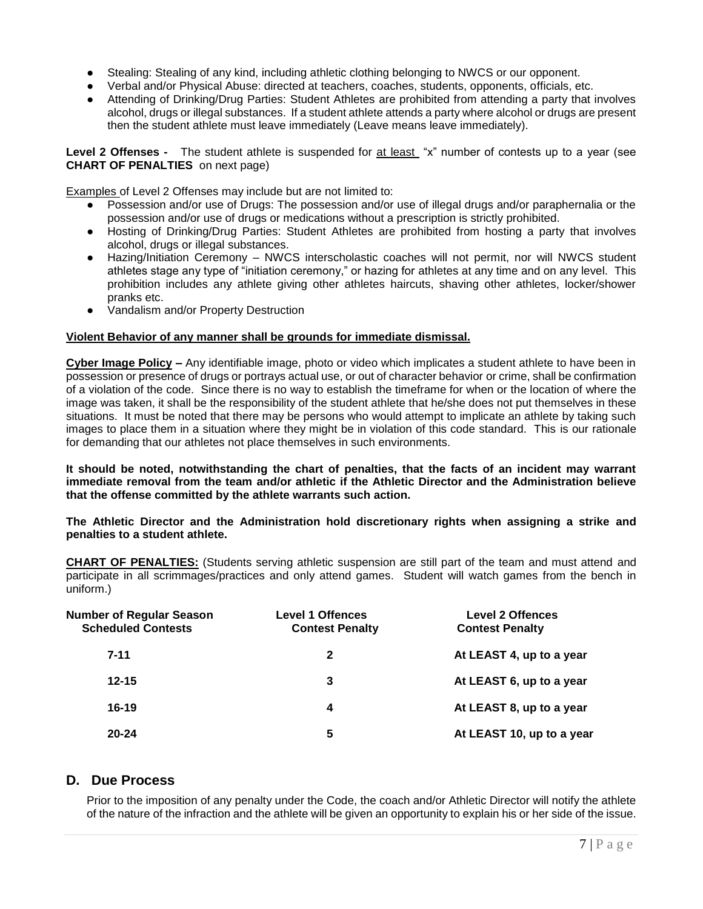- Stealing: Stealing of any kind, including athletic clothing belonging to NWCS or our opponent.
- Verbal and/or Physical Abuse: directed at teachers, coaches, students, opponents, officials, etc.
- Attending of Drinking/Drug Parties: Student Athletes are prohibited from attending a party that involves alcohol, drugs or illegal substances. If a student athlete attends a party where alcohol or drugs are present then the student athlete must leave immediately (Leave means leave immediately).

Level 2 Offenses - The student athlete is suspended for at least "x" number of contests up to a year (see **CHART OF PENALTIES** on next page)

Examples of Level 2 Offenses may include but are not limited to:

- Possession and/or use of Drugs: The possession and/or use of illegal drugs and/or paraphernalia or the possession and/or use of drugs or medications without a prescription is strictly prohibited.
- Hosting of Drinking/Drug Parties: Student Athletes are prohibited from hosting a party that involves alcohol, drugs or illegal substances.
- Hazing/Initiation Ceremony NWCS interscholastic coaches will not permit, nor will NWCS student athletes stage any type of "initiation ceremony," or hazing for athletes at any time and on any level. This prohibition includes any athlete giving other athletes haircuts, shaving other athletes, locker/shower pranks etc.
- Vandalism and/or Property Destruction

### **Violent Behavior of any manner shall be grounds for immediate dismissal.**

**Cyber Image Policy** *–* Any identifiable image, photo or video which implicates a student athlete to have been in possession or presence of drugs or portrays actual use, or out of character behavior or crime, shall be confirmation of a violation of the code. Since there is no way to establish the timeframe for when or the location of where the image was taken, it shall be the responsibility of the student athlete that he/she does not put themselves in these situations. It must be noted that there may be persons who would attempt to implicate an athlete by taking such images to place them in a situation where they might be in violation of this code standard. This is our rationale for demanding that our athletes not place themselves in such environments.

**It should be noted, notwithstanding the chart of penalties, that the facts of an incident may warrant immediate removal from the team and/or athletic if the Athletic Director and the Administration believe that the offense committed by the athlete warrants such action.** 

**The Athletic Director and the Administration hold discretionary rights when assigning a strike and penalties to a student athlete.** 

**CHART OF PENALTIES:** (Students serving athletic suspension are still part of the team and must attend and participate in all scrimmages/practices and only attend games. Student will watch games from the bench in uniform.)

| <b>Number of Regular Season</b><br><b>Scheduled Contests</b> | <b>Level 1 Offences</b><br><b>Contest Penalty</b> | <b>Level 2 Offences</b><br><b>Contest Penalty</b> |
|--------------------------------------------------------------|---------------------------------------------------|---------------------------------------------------|
| $7 - 11$                                                     | 2                                                 | At LEAST 4, up to a year                          |
| $12 - 15$                                                    | 3                                                 | At LEAST 6, up to a year                          |
| $16-19$                                                      | 4                                                 | At LEAST 8, up to a year                          |
| $20 - 24$                                                    | 5                                                 | At LEAST 10, up to a year                         |

## **D. Due Process**

Prior to the imposition of any penalty under the Code, the coach and/or Athletic Director will notify the athlete of the nature of the infraction and the athlete will be given an opportunity to explain his or her side of the issue.